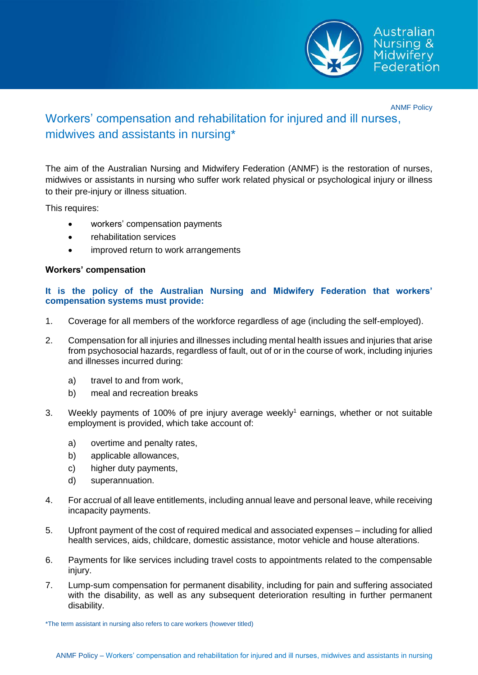

ANMF Policy

# Workers' compensation and rehabilitation for injured and ill nurses, midwives and assistants in nursing\*

The aim of the Australian Nursing and Midwifery Federation (ANMF) is the restoration of nurses, midwives or assistants in nursing who suffer work related physical or psychological injury or illness to their pre-injury or illness situation.

This requires:

- workers' compensation payments
- rehabilitation services
- improved return to work arrangements

# **Workers' compensation**

## **It is the policy of the Australian Nursing and Midwifery Federation that workers' compensation systems must provide:**

- 1. Coverage for all members of the workforce regardless of age (including the self-employed).
- 2. Compensation for all injuries and illnesses including mental health issues and injuries that arise from psychosocial hazards, regardless of fault, out of or in the course of work, including injuries and illnesses incurred during:
	- a) travel to and from work,
	- b) meal and recreation breaks
- 3. Weekly payments of 100% of pre injury average weekly<sup>1</sup> earnings, whether or not suitable employment is provided, which take account of:
	- a) overtime and penalty rates,
	- b) applicable allowances,
	- c) higher duty payments,
	- d) superannuation.
- 4. For accrual of all leave entitlements, including annual leave and personal leave, while receiving incapacity payments.
- 5. Upfront payment of the cost of required medical and associated expenses including for allied health services, aids, childcare, domestic assistance, motor vehicle and house alterations.
- 6. Payments for like services including travel costs to appointments related to the compensable injury.
- 7. Lump-sum compensation for permanent disability, including for pain and suffering associated with the disability, as well as any subsequent deterioration resulting in further permanent disability.

\*The term assistant in nursing also refers to care workers (however titled)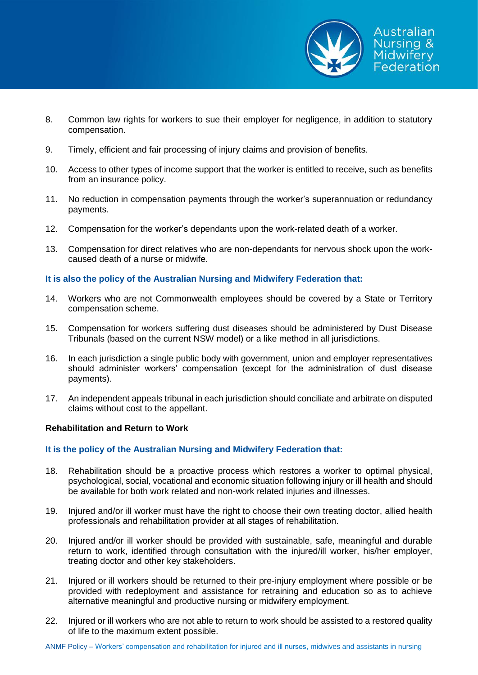

- 8. Common law rights for workers to sue their employer for negligence, in addition to statutory compensation.
- 9. Timely, efficient and fair processing of injury claims and provision of benefits.
- 10. Access to other types of income support that the worker is entitled to receive, such as benefits from an insurance policy.
- 11. No reduction in compensation payments through the worker's superannuation or redundancy payments.
- 12. Compensation for the worker's dependants upon the work-related death of a worker.
- 13. Compensation for direct relatives who are non-dependants for nervous shock upon the workcaused death of a nurse or midwife.

## **It is also the policy of the Australian Nursing and Midwifery Federation that:**

- 14. Workers who are not Commonwealth employees should be covered by a State or Territory compensation scheme.
- 15. Compensation for workers suffering dust diseases should be administered by Dust Disease Tribunals (based on the current NSW model) or a like method in all jurisdictions.
- 16. In each jurisdiction a single public body with government, union and employer representatives should administer workers' compensation (except for the administration of dust disease payments).
- 17. An independent appeals tribunal in each jurisdiction should conciliate and arbitrate on disputed claims without cost to the appellant.

### **Rehabilitation and Return to Work**

# **It is the policy of the Australian Nursing and Midwifery Federation that:**

- 18. Rehabilitation should be a proactive process which restores a worker to optimal physical, psychological, social, vocational and economic situation following injury or ill health and should be available for both work related and non-work related injuries and illnesses.
- 19. Injured and/or ill worker must have the right to choose their own treating doctor, allied health professionals and rehabilitation provider at all stages of rehabilitation.
- 20. Injured and/or ill worker should be provided with sustainable, safe, meaningful and durable return to work, identified through consultation with the injured/ill worker, his/her employer, treating doctor and other key stakeholders.
- 21. Injured or ill workers should be returned to their pre-injury employment where possible or be provided with redeployment and assistance for retraining and education so as to achieve alternative meaningful and productive nursing or midwifery employment.
- 22. Injured or ill workers who are not able to return to work should be assisted to a restored quality of life to the maximum extent possible.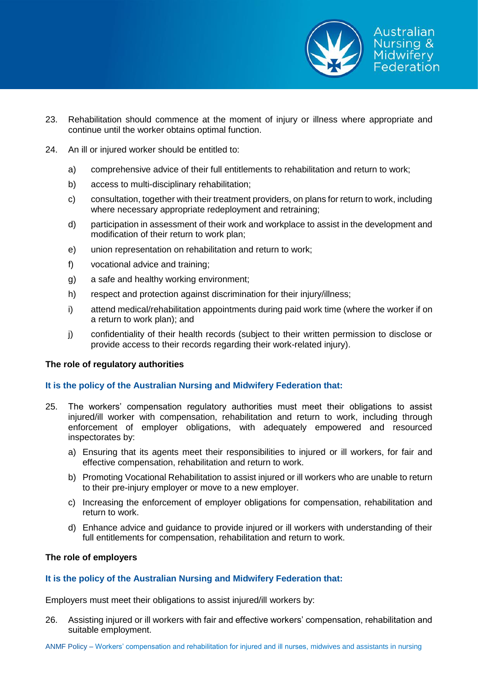

- 23. Rehabilitation should commence at the moment of injury or illness where appropriate and continue until the worker obtains optimal function.
- 24. An ill or injured worker should be entitled to:
	- a) comprehensive advice of their full entitlements to rehabilitation and return to work;
	- b) access to multi-disciplinary rehabilitation;
	- c) consultation, together with their treatment providers, on plans for return to work, including where necessary appropriate redeployment and retraining;
	- d) participation in assessment of their work and workplace to assist in the development and modification of their return to work plan;
	- e) union representation on rehabilitation and return to work;
	- f) vocational advice and training;
	- g) a safe and healthy working environment;
	- h) respect and protection against discrimination for their injury/illness;
	- i) attend medical/rehabilitation appointments during paid work time (where the worker if on a return to work plan); and
	- j) confidentiality of their health records (subject to their written permission to disclose or provide access to their records regarding their work-related injury).

### **The role of regulatory authorities**

# **It is the policy of the Australian Nursing and Midwifery Federation that:**

- 25. The workers' compensation regulatory authorities must meet their obligations to assist injured/ill worker with compensation, rehabilitation and return to work, including through enforcement of employer obligations, with adequately empowered and resourced inspectorates by:
	- a) Ensuring that its agents meet their responsibilities to injured or ill workers, for fair and effective compensation, rehabilitation and return to work.
	- b) Promoting Vocational Rehabilitation to assist injured or ill workers who are unable to return to their pre-injury employer or move to a new employer.
	- c) Increasing the enforcement of employer obligations for compensation, rehabilitation and return to work.
	- d) Enhance advice and guidance to provide injured or ill workers with understanding of their full entitlements for compensation, rehabilitation and return to work.

### **The role of employers**

### **It is the policy of the Australian Nursing and Midwifery Federation that:**

Employers must meet their obligations to assist injured/ill workers by:

26. Assisting injured or ill workers with fair and effective workers' compensation, rehabilitation and suitable employment.